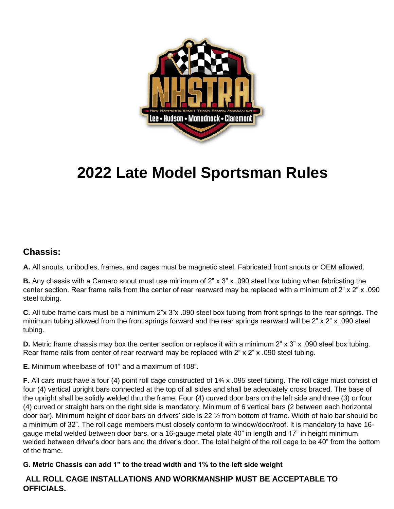

# **2022 Late Model Sportsman Rules**

#### **Chassis:**

**A.** All snouts, unibodies, frames, and cages must be magnetic steel. Fabricated front snouts or OEM allowed.

**B.** Any chassis with a Camaro snout must use minimum of 2" x 3" x .090 steel box tubing when fabricating the center section. Rear frame rails from the center of rear rearward may be replaced with a minimum of 2" x 2" x .090 steel tubing.

**C.** All tube frame cars must be a minimum 2"x 3"x .090 steel box tubing from front springs to the rear springs. The minimum tubing allowed from the front springs forward and the rear springs rearward will be 2" x 2" x .090 steel tubing.

**D.** Metric frame chassis may box the center section or replace it with a minimum 2" x 3" x .090 steel box tubing. Rear frame rails from center of rear rearward may be replaced with 2" x 2" x .090 steel tubing.

**E.** Minimum wheelbase of 101" and a maximum of 108".

**F.** All cars must have a four (4) point roll cage constructed of 1¾ x .095 steel tubing. The roll cage must consist of four (4) vertical upright bars connected at the top of all sides and shall be adequately cross braced. The base of the upright shall be solidly welded thru the frame. Four (4) curved door bars on the left side and three (3) or four (4) curved or straight bars on the right side is mandatory. Minimum of 6 vertical bars (2 between each horizontal door bar). Minimum height of door bars on drivers' side is 22 ½ from bottom of frame. Width of halo bar should be a minimum of 32". The roll cage members must closely conform to window/door/roof. It is mandatory to have 16 gauge metal welded between door bars, or a 16-gauge metal plate 40" in length and 17" in height minimum welded between driver's door bars and the driver's door. The total height of the roll cage to be 40" from the bottom of the frame.

#### **G. Metric Chassis can add 1" to the tread width and 1% to the left side weight**

#### **ALL ROLL CAGE INSTALLATIONS AND WORKMANSHIP MUST BE ACCEPTABLE TO OFFICIALS.**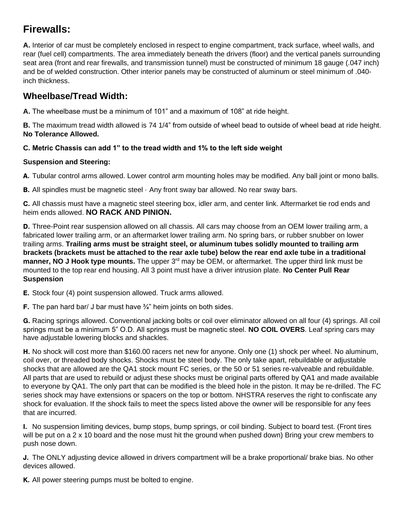# **Firewalls:**

**A.** Interior of car must be completely enclosed in respect to engine compartment, track surface, wheel walls, and rear (fuel cell) compartments. The area immediately beneath the drivers (floor) and the vertical panels surrounding seat area (front and rear firewalls, and transmission tunnel) must be constructed of minimum 18 gauge (.047 inch) and be of welded construction. Other interior panels may be constructed of aluminum or steel minimum of .040 inch thickness.

## **Wheelbase/Tread Width:**

**A.** The wheelbase must be a minimum of 101" and a maximum of 108" at ride height.

**B.** The maximum tread width allowed is 74 1/4" from outside of wheel bead to outside of wheel bead at ride height. **No Tolerance Allowed.**

#### **C. Metric Chassis can add 1" to the tread width and 1% to the left side weight**

#### **Suspension and Steering:**

A. Tubular control arms allowed. Lower control arm mounting holes may be modified. Any ball joint or mono balls.

**B.** All spindles must be magnetic steel  $\cdot$  Any front sway bar allowed. No rear sway bars.

C. All chassis must have a magnetic steel steering box, idler arm, and center link. Aftermarket tie rod ends and heim ends allowed. **NO RACK AND PINION.**

D. Three-Point rear suspension allowed on all chassis. All cars may choose from an OEM lower trailing arm, a fabricated lower trailing arm, or an aftermarket lower trailing arm. No spring bars, or rubber snubber on lower trailing arms. **Trailing arms must be straight steel, or aluminum tubes solidly mounted to trailing arm brackets (brackets must be attached to the rear axle tube) below the rear end axle tube in a traditional manner, NO J Hook type mounts.** The upper 3<sup>rd</sup> may be OEM, or aftermarket. The upper third link must be mounted to the top rear end housing. All 3 point must have a driver intrusion plate. **No Center Pull Rear Suspension**

E. Stock four (4) point suspension allowed. Truck arms allowed.

F. The pan hard bar/ J bar must have  $\frac{3}{4}$ " heim joints on both sides.

G. Racing springs allowed. Conventional jacking bolts or coil over eliminator allowed on all four (4) springs. All coil springs must be a minimum 5" O.D. All springs must be magnetic steel. **NO COIL OVERS**. Leaf spring cars may have adjustable lowering blocks and shackles.

H. No shock will cost more than \$160.00 racers net new for anyone. Only one (1) shock per wheel. No aluminum, coil over, or threaded body shocks. Shocks must be steel body. The only take apart, rebuildable or adjustable shocks that are allowed are the QA1 stock mount FC series, or the 50 or 51 series re-valveable and rebuildable. All parts that are used to rebuild or adjust these shocks must be original parts offered by QA1 and made available to everyone by QA1. The only part that can be modified is the bleed hole in the piston. It may be re-drilled. The FC series shock may have extensions or spacers on the top or bottom. NHSTRA reserves the right to confiscate any shock for evaluation. If the shock fails to meet the specs listed above the owner will be responsible for any fees that are incurred.

I. No suspension limiting devices, bump stops, bump springs, or coil binding. Subject to board test. (Front tires will be put on a 2 x 10 board and the nose must hit the ground when pushed down) Bring your crew members to push nose down.

J. The ONLY adjusting device allowed in drivers compartment will be a brake proportional/ brake bias. No other devices allowed.

K. All power steering pumps must be bolted to engine.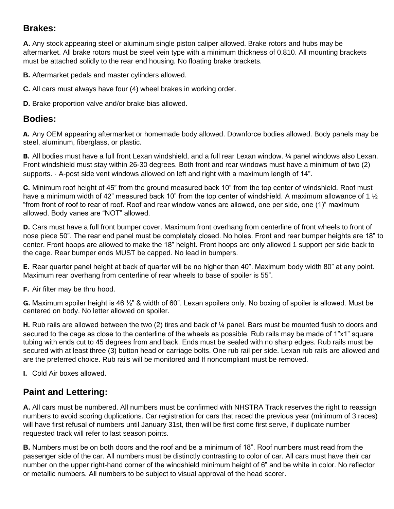## **Brakes:**

**A.** Any stock appearing steel or aluminum single piston caliper allowed. Brake rotors and hubs may be aftermarket. All brake rotors must be steel vein type with a minimum thickness of 0.810. All mounting brackets must be attached solidly to the rear end housing. No floating brake brackets.

**B.** Aftermarket pedals and master cylinders allowed.

**C.** All cars must always have four (4) wheel brakes in working order.

**D.** Brake proportion valve and/or brake bias allowed.

#### **Bodies:**

A. Any OEM appearing aftermarket or homemade body allowed. Downforce bodies allowed. Body panels may be steel, aluminum, fiberglass, or plastic.

B. All bodies must have a full front Lexan windshield, and a full rear Lexan window.  $\frac{1}{4}$  panel windows also Lexan. Front windshield must stay within 26-30 degrees. Both front and rear windows must have a minimum of two (2) supports. · A-post side vent windows allowed on left and right with a maximum length of 14".

C. Minimum roof height of 45" from the ground measured back 10" from the top center of windshield. Roof must have a minimum width of 42" measured back 10" from the top center of windshield. A maximum allowance of 1  $\frac{1}{2}$ "from front of roof to rear of roof. Roof and rear window vanes are allowed, one per side, one (1)" maximum allowed. Body vanes are "NOT" allowed.

D. Cars must have a full front bumper cover. Maximum front overhang from centerline of front wheels to front of nose piece 50". The rear end panel must be completely closed. No holes. Front and rear bumper heights are 18" to center. Front hoops are allowed to make the 18" height. Front hoops are only allowed 1 support per side back to the cage. Rear bumper ends MUST be capped. No lead in bumpers.

E. Rear quarter panel height at back of quarter will be no higher than 40". Maximum body width 80" at any point. Maximum rear overhang from centerline of rear wheels to base of spoiler is 55".

F. Air filter may be thru hood.

G. Maximum spoiler height is 46 ½" & width of 60". Lexan spoilers only. No boxing of spoiler is allowed. Must be centered on body. No letter allowed on spoiler.

H. Rub rails are allowed between the two (2) tires and back of 1/4 panel. Bars must be mounted flush to doors and secured to the cage as close to the centerline of the wheels as possible. Rub rails may be made of 1"x1" square tubing with ends cut to 45 degrees from and back. Ends must be sealed with no sharp edges. Rub rails must be secured with at least three (3) button head or carriage bolts. One rub rail per side. Lexan rub rails are allowed and are the preferred choice. Rub rails will be monitored and If noncompliant must be removed.

I. Cold Air boxes allowed.

## **Paint and Lettering:**

**A.** All cars must be numbered. All numbers must be confirmed with NHSTRA Track reserves the right to reassign numbers to avoid scoring duplications. Car registration for cars that raced the previous year (minimum of 3 races) will have first refusal of numbers until January 31st, then will be first come first serve, if duplicate number requested track will refer to last season points.

**B.** Numbers must be on both doors and the roof and be a minimum of 18". Roof numbers must read from the passenger side of the car. All numbers must be distinctly contrasting to color of car. All cars must have their car number on the upper right-hand corner of the windshield minimum height of 6" and be white in color. No reflector or metallic numbers. All numbers to be subject to visual approval of the head scorer.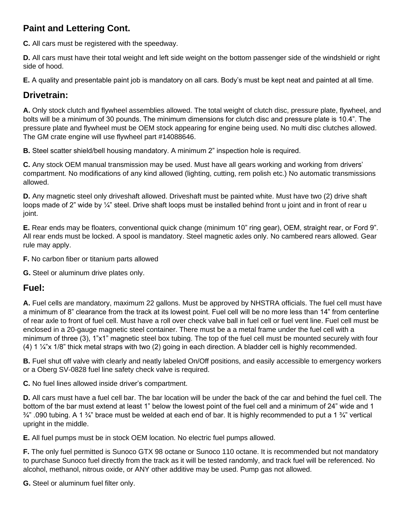## **Paint and Lettering Cont.**

**C.** All cars must be registered with the speedway.

**D.** All cars must have their total weight and left side weight on the bottom passenger side of the windshield or right side of hood.

**E.** A quality and presentable paint job is mandatory on all cars. Body's must be kept neat and painted at all time.

## **Drivetrain:**

**A.** Only stock clutch and flywheel assemblies allowed. The total weight of clutch disc, pressure plate, flywheel, and bolts will be a minimum of 30 pounds. The minimum dimensions for clutch disc and pressure plate is 10.4". The pressure plate and flywheel must be OEM stock appearing for engine being used. No multi disc clutches allowed. The GM crate engine will use flywheel part #14088646.

**B.** Steel scatter shield/bell housing mandatory. A minimum 2" inspection hole is required.

**C.** Any stock OEM manual transmission may be used. Must have all gears working and working from drivers' compartment. No modifications of any kind allowed (lighting, cutting, rem polish etc.) No automatic transmissions allowed.

**D.** Any magnetic steel only driveshaft allowed. Driveshaft must be painted white. Must have two (2) drive shaft loops made of 2" wide by ¼" steel. Drive shaft loops must be installed behind front u joint and in front of rear u joint.

**E.** Rear ends may be floaters, conventional quick change (minimum 10" ring gear), OEM, straight rear, or Ford 9". All rear ends must be locked. A spool is mandatory. Steel magnetic axles only. No cambered rears allowed. Gear rule may apply.

**F.** No carbon fiber or titanium parts allowed

**G.** Steel or aluminum drive plates only.

#### **Fuel:**

**A.** Fuel cells are mandatory, maximum 22 gallons. Must be approved by NHSTRA officials. The fuel cell must have a minimum of 8" clearance from the track at its lowest point. Fuel cell will be no more less than 14" from centerline of rear axle to front of fuel cell. Must have a roll over check valve ball in fuel cell or fuel vent line. Fuel cell must be enclosed in a 20-gauge magnetic steel container. There must be a a metal frame under the fuel cell with a minimum of three (3), 1"x1" magnetic steel box tubing. The top of the fuel cell must be mounted securely with four (4) 1 ¼"x 1/8" thick metal straps with two (2) going in each direction. A bladder cell is highly recommended.

**B.** Fuel shut off valve with clearly and neatly labeled On/Off positions, and easily accessible to emergency workers or a Oberg SV-0828 fuel line safety check valve is required.

**C.** No fuel lines allowed inside driver's compartment.

**D.** All cars must have a fuel cell bar. The bar location will be under the back of the car and behind the fuel cell. The bottom of the bar must extend at least 1" below the lowest point of the fuel cell and a minimum of 24" wide and 1  $\frac{3}{4}$ ".090 tubing. A 1  $\frac{3}{4}$ " brace must be welded at each end of bar. It is highly recommended to put a 1  $\frac{3}{4}$ " vertical upright in the middle.

**E.** All fuel pumps must be in stock OEM location. No electric fuel pumps allowed.

**F.** The only fuel permitted is Sunoco GTX 98 octane or Sunoco 110 octane. It is recommended but not mandatory to purchase Sunoco fuel directly from the track as it will be tested randomly, and track fuel will be referenced. No alcohol, methanol, nitrous oxide, or ANY other additive may be used. Pump gas not allowed.

**G.** Steel or aluminum fuel filter only.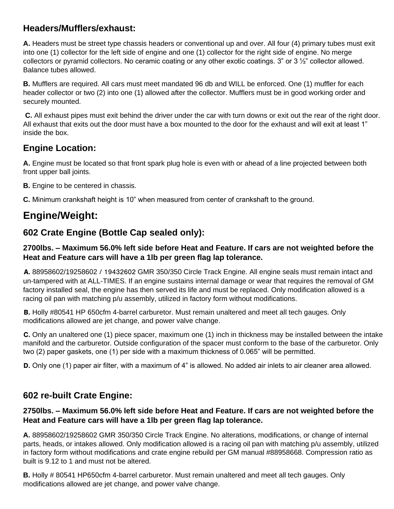## **Headers/Mufflers/exhaust:**

**A.** Headers must be street type chassis headers or conventional up and over. All four (4) primary tubes must exit into one (1) collector for the left side of engine and one (1) collector for the right side of engine. No merge collectors or pyramid collectors. No ceramic coating or any other exotic coatings.  $3$ " or  $3\frac{1}{2}$ " collector allowed. Balance tubes allowed.

**B.** Mufflers are required. All cars must meet mandated 96 db and WILL be enforced. One (1) muffler for each header collector or two (2) into one (1) allowed after the collector. Mufflers must be in good working order and securely mounted.

**C.** All exhaust pipes must exit behind the driver under the car with turn downs or exit out the rear of the right door. All exhaust that exits out the door must have a box mounted to the door for the exhaust and will exit at least 1" inside the box.

## **Engine Location:**

**A.** Engine must be located so that front spark plug hole is even with or ahead of a line projected between both front upper ball joints.

- **B.** Engine to be centered in chassis.
- **C.** Minimum crankshaft height is 10" when measured from center of crankshaft to the ground.

## **Engine/Weight:**

## **602 Crate Engine (Bottle Cap sealed only):**

#### **2700lbs. – Maximum 56.0% left side before Heat and Feature. If cars are not weighted before the Heat and Feature cars will have a 1lb per green flag lap tolerance.**

A. 88958602/19258602 / 19432602 GMR 350/350 Circle Track Engine. All engine seals must remain intact and un-tampered with at ALL-TIMES. If an engine sustains internal damage or wear that requires the removal of GM factory installed seal, the engine has then served its life and must be replaced. Only modification allowed is a racing oil pan with matching p/u assembly, utilized in factory form without modifications.

B. Holly #80541 HP 650cfm 4-barrel carburetor. Must remain unaltered and meet all tech gauges. Only modifications allowed are jet change, and power valve change.

C. Only an unaltered one (1) piece spacer, maximum one (1) inch in thickness may be installed between the intake manifold and the carburetor. Outside configuration of the spacer must conform to the base of the carburetor. Only two (2) paper gaskets, one (1) per side with a maximum thickness of 0.065" will be permitted.

D. Only one (1) paper air filter, with a maximum of 4" is allowed. No added air inlets to air cleaner area allowed.

## **602 re-built Crate Engine:**

#### **2750lbs. – Maximum 56.0% left side before Heat and Feature. If cars are not weighted before the Heat and Feature cars will have a 1lb per green flag lap tolerance.**

**A.** 88958602/19258602 GMR 350/350 Circle Track Engine. No alterations, modifications, or change of internal parts, heads, or intakes allowed. Only modification allowed is a racing oil pan with matching p/u assembly, utilized in factory form without modifications and crate engine rebuild per GM manual #88958668. Compression ratio as built is 9.12 to 1 and must not be altered.

**B.** Holly # 80541 HP650cfm 4-barrel carburetor. Must remain unaltered and meet all tech gauges. Only modifications allowed are jet change, and power valve change.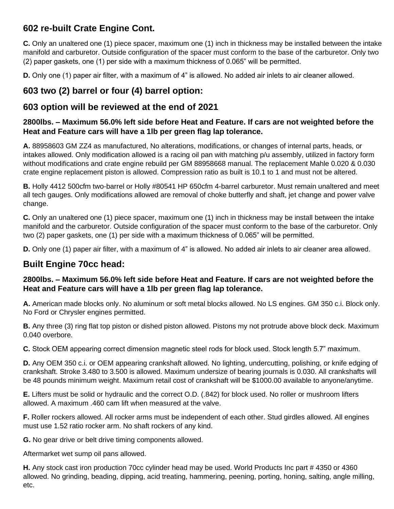## **602 re-built Crate Engine Cont.**

**C.** Only an unaltered one (1) piece spacer, maximum one (1) inch in thickness may be installed between the intake manifold and carburetor. Outside configuration of the spacer must conform to the base of the carburetor. Only two (2) paper gaskets, one (1) per side with a maximum thickness of 0.065" will be permitted.

**D.** Only one (1) paper air filter, with a maximum of 4" is allowed. No added air inlets to air cleaner allowed.

## **603 two (2) barrel or four (4) barrel option:**

## **603 option will be reviewed at the end of 2021**

#### **2800lbs. – Maximum 56.0% left side before Heat and Feature. If cars are not weighted before the Heat and Feature cars will have a 1lb per green flag lap tolerance.**

**A.** 88958603 GM ZZ4 as manufactured, No alterations, modifications, or changes of internal parts, heads, or intakes allowed. Only modification allowed is a racing oil pan with matching p/u assembly, utilized in factory form without modifications and crate engine rebuild per GM 88958668 manual. The replacement Mahle 0.020 & 0.030 crate engine replacement piston is allowed. Compression ratio as built is 10.1 to 1 and must not be altered.

**B.** Holly 4412 500cfm two-barrel or Holly #80541 HP 650cfm 4-barrel carburetor. Must remain unaltered and meet all tech gauges. Only modifications allowed are removal of choke butterfly and shaft, jet change and power valve change.

**C.** Only an unaltered one (1) piece spacer, maximum one (1) inch in thickness may be install between the intake manifold and the carburetor. Outside configuration of the spacer must conform to the base of the carburetor. Only two (2) paper gaskets, one (1) per side with a maximum thickness of 0.065" will be permitted.

**D.** Only one (1) paper air filter, with a maximum of 4" is allowed. No added air inlets to air cleaner area allowed.

#### **Built Engine 70cc head:**

#### **2800lbs. – Maximum 56.0% left side before Heat and Feature. If cars are not weighted before the Heat and Feature cars will have a 1lb per green flag lap tolerance.**

**A.** American made blocks only. No aluminum or soft metal blocks allowed. No LS engines. GM 350 c.i. Block only. No Ford or Chrysler engines permitted.

**B.** Any three (3) ring flat top piston or dished piston allowed. Pistons my not protrude above block deck. Maximum 0.040 overbore.

**C.** Stock OEM appearing correct dimension magnetic steel rods for block used. Stock length 5.7" maximum.

**D.** Any OEM 350 c.i. or OEM appearing crankshaft allowed. No lighting, undercutting, polishing, or knife edging of crankshaft. Stroke 3.480 to 3.500 is allowed. Maximum undersize of bearing journals is 0.030. All crankshafts will be 48 pounds minimum weight. Maximum retail cost of crankshaft will be \$1000.00 available to anyone/anytime.

**E.** Lifters must be solid or hydraulic and the correct O.D. (.842) for block used. No roller or mushroom lifters allowed. A maximum .460 cam lift when measured at the valve.

**F.** Roller rockers allowed. All rocker arms must be independent of each other. Stud girdles allowed. All engines must use 1.52 ratio rocker arm. No shaft rockers of any kind.

**G.** No gear drive or belt drive timing components allowed.

Aftermarket wet sump oil pans allowed.

**H.** Any stock cast iron production 70cc cylinder head may be used. World Products Inc part # 4350 or 4360 allowed. No grinding, beading, dipping, acid treating, hammering, peening, porting, honing, salting, angle milling, etc.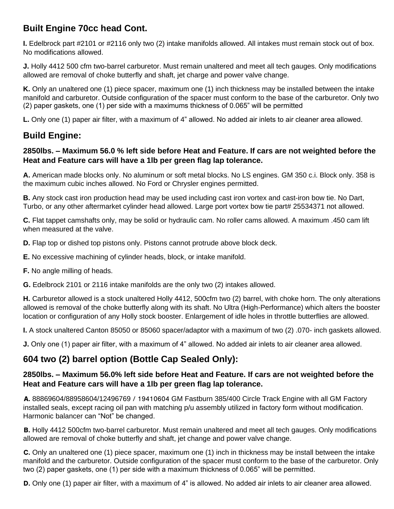## **Built Engine 70cc head Cont.**

**I.** Edelbrock part #2101 or #2116 only two (2) intake manifolds allowed. All intakes must remain stock out of box. No modifications allowed.

**J.** Holly 4412 500 cfm two-barrel carburetor. Must remain unaltered and meet all tech gauges. Only modifications allowed are removal of choke butterfly and shaft, jet charge and power valve change.

**K.** Only an unaltered one (1) piece spacer, maximum one (1) inch thickness may be installed between the intake manifold and carburetor. Outside configuration of the spacer must conform to the base of the carburetor. Only two (2) paper gaskets, one (1) per side with a maximums thickness of 0.065" will be permitted

**L.** Only one (1) paper air filter, with a maximum of 4" allowed. No added air inlets to air cleaner area allowed.

## **Build Engine:**

#### **2850lbs. – Maximum 56.0 % left side before Heat and Feature. If cars are not weighted before the Heat and Feature cars will have a 1lb per green flag lap tolerance.**

**A.** American made blocks only. No aluminum or soft metal blocks. No LS engines. GM 350 c.i. Block only. 358 is the maximum cubic inches allowed. No Ford or Chrysler engines permitted.

**B.** Any stock cast iron production head may be used including cast iron vortex and cast-iron bow tie. No Dart, Turbo, or any other aftermarket cylinder head allowed. Large port vortex bow tie part# 25534371 not allowed.

**C.** Flat tappet camshafts only, may be solid or hydraulic cam. No roller cams allowed. A maximum .450 cam lift when measured at the valve.

**D.** Flap top or dished top pistons only. Pistons cannot protrude above block deck.

**E.** No excessive machining of cylinder heads, block, or intake manifold.

**F.** No angle milling of heads.

**G.** Edelbrock 2101 or 2116 intake manifolds are the only two (2) intakes allowed.

**H.** Carburetor allowed is a stock unaltered Holly 4412, 500cfm two (2) barrel, with choke horn. The only alterations allowed is removal of the choke butterfly along with its shaft. No Ultra (High-Performance) which alters the booster location or configuration of any Holly stock booster. Enlargement of idle holes in throttle butterflies are allowed.

**I.** A stock unaltered Canton 85050 or 85060 spacer/adaptor with a maximum of two (2) .070- inch gaskets allowed.

**J.** Only one (1) paper air filter, with a maximum of 4" allowed. No added air inlets to air cleaner area allowed.

#### **604 two (2) barrel option (Bottle Cap Sealed Only):**

#### **2850lbs. – Maximum 56.0% left side before Heat and Feature. If cars are not weighted before the Heat and Feature cars will have a 1lb per green flag lap tolerance.**

A. 88869604/88958604/12496769 / 19410604 GM Fastburn 385/400 Circle Track Engine with all GM Factory installed seals, except racing oil pan with matching p/u assembly utilized in factory form without modification. Harmonic balancer can "Not" be changed.

B. Holly 4412 500cfm two-barrel carburetor. Must remain unaltered and meet all tech gauges. Only modifications allowed are removal of choke butterfly and shaft, jet change and power valve change.

C. Only an unaltered one (1) piece spacer, maximum one (1) inch in thickness may be install between the intake manifold and the carburetor. Outside configuration of the spacer must conform to the base of the carburetor. Only two (2) paper gaskets, one (1) per side with a maximum thickness of 0.065" will be permitted.

D. Only one (1) paper air filter, with a maximum of 4" is allowed. No added air inlets to air cleaner area allowed.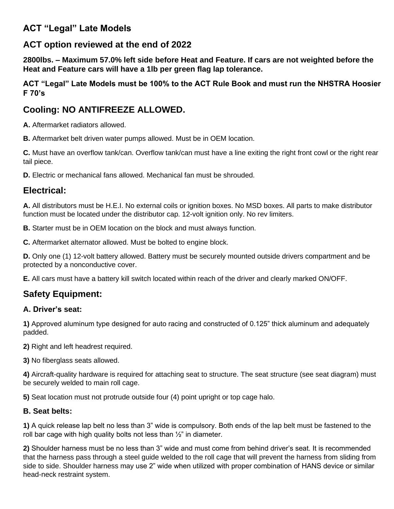## **ACT "Legal" Late Models**

#### **ACT option reviewed at the end of 202**2

**2800lbs. – Maximum 57.0% left side before Heat and Feature. If cars are not weighted before the Heat and Feature cars will have a 1lb per green flag lap tolerance.** 

**ACT "Legal" Late Models must be 100% to the ACT Rule Book and must run the NHSTRA Hoosier F 70's**

## **Cooling: NO ANTIFREEZE ALLOWED.**

**A.** Aftermarket radiators allowed.

**B.** Aftermarket belt driven water pumps allowed. Must be in OEM location.

**C.** Must have an overflow tank/can. Overflow tank/can must have a line exiting the right front cowl or the right rear tail piece.

**D.** Electric or mechanical fans allowed. Mechanical fan must be shrouded.

## **Electrical:**

**A.** All distributors must be H.E.I. No external coils or ignition boxes. No MSD boxes. All parts to make distributor function must be located under the distributor cap. 12-volt ignition only. No rev limiters.

**B.** Starter must be in OEM location on the block and must always function.

**C.** Aftermarket alternator allowed. Must be bolted to engine block.

**D.** Only one (1) 12-volt battery allowed. Battery must be securely mounted outside drivers compartment and be protected by a nonconductive cover.

**E.** All cars must have a battery kill switch located within reach of the driver and clearly marked ON/OFF.

## **Safety Equipment:**

#### **A. Driver's seat:**

**1)** Approved aluminum type designed for auto racing and constructed of 0.125" thick aluminum and adequately padded.

**2)** Right and left headrest required.

**3)** No fiberglass seats allowed.

**4)** Aircraft-quality hardware is required for attaching seat to structure. The seat structure (see seat diagram) must be securely welded to main roll cage.

**5)** Seat location must not protrude outside four (4) point upright or top cage halo.

#### **B. Seat belts:**

**1)** A quick release lap belt no less than 3" wide is compulsory. Both ends of the lap belt must be fastened to the roll bar cage with high quality bolts not less than  $\frac{1}{2}$ " in diameter.

**2)** Shoulder harness must be no less than 3" wide and must come from behind driver's seat. It is recommended that the harness pass through a steel guide welded to the roll cage that will prevent the harness from sliding from side to side. Shoulder harness may use 2" wide when utilized with proper combination of HANS device or similar head-neck restraint system.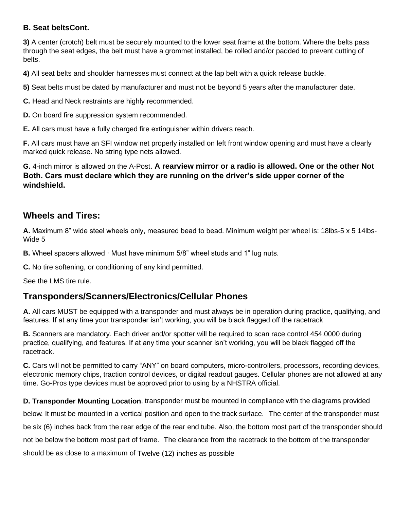#### **B. Seat beltsCont.**

**3)** A center (crotch) belt must be securely mounted to the lower seat frame at the bottom. Where the belts pass through the seat edges, the belt must have a grommet installed, be rolled and/or padded to prevent cutting of belts.

**4)** All seat belts and shoulder harnesses must connect at the lap belt with a quick release buckle.

**5)** Seat belts must be dated by manufacturer and must not be beyond 5 years after the manufacturer date.

**C.** Head and Neck restraints are highly recommended.

**D.** On board fire suppression system recommended.

**E.** All cars must have a fully charged fire extinguisher within drivers reach.

**F.** All cars must have an SFI window net properly installed on left front window opening and must have a clearly marked quick release. No string type nets allowed.

**G.** 4-inch mirror is allowed on the A-Post. **A rearview mirror or a radio is allowed. One or the other Not Both. Cars must declare which they are running on the driver's side upper corner of the windshield.**

#### **Wheels and Tires:**

**A.** Maximum 8" wide steel wheels only, measured bead to bead. Minimum weight per wheel is: 18lbs-5 x 5 14lbs-Wide 5

**B.** Wheel spacers allowed · Must have minimum 5/8" wheel studs and 1" lug nuts.

**C.** No tire softening, or conditioning of any kind permitted.

See the LMS tire rule.

#### **Transponders/Scanners/Electronics/Cellular Phones**

**A.** All cars MUST be equipped with a transponder and must always be in operation during practice, qualifying, and features. If at any time your transponder isn't working, you will be black flagged off the racetrack

**B.** Scanners are mandatory. Each driver and/or spotter will be required to scan race control 454.0000 during practice, qualifying, and features. If at any time your scanner isn't working, you will be black flagged off the racetrack.

**C.** Cars will not be permitted to carry "ANY" on board computers, micro-controllers, processors, recording devices, electronic memory chips, traction control devices, or digital readout gauges. Cellular phones are not allowed at any time. Go-Pros type devices must be approved prior to using by a NHSTRA official.

**D. Transponder Mounting Location**, transponder must be mounted in compliance with the diagrams provided

below. It must be mounted in a vertical position and open to the track surface. The center of the transponder must

be six (6) inches back from the rear edge of the rear end tube. Also, the bottom most part of the transponder should

not be below the bottom most part of frame. The clearance from the racetrack to the bottom of the transponder

should be as close to a maximum of Twelve (12) inches as possible